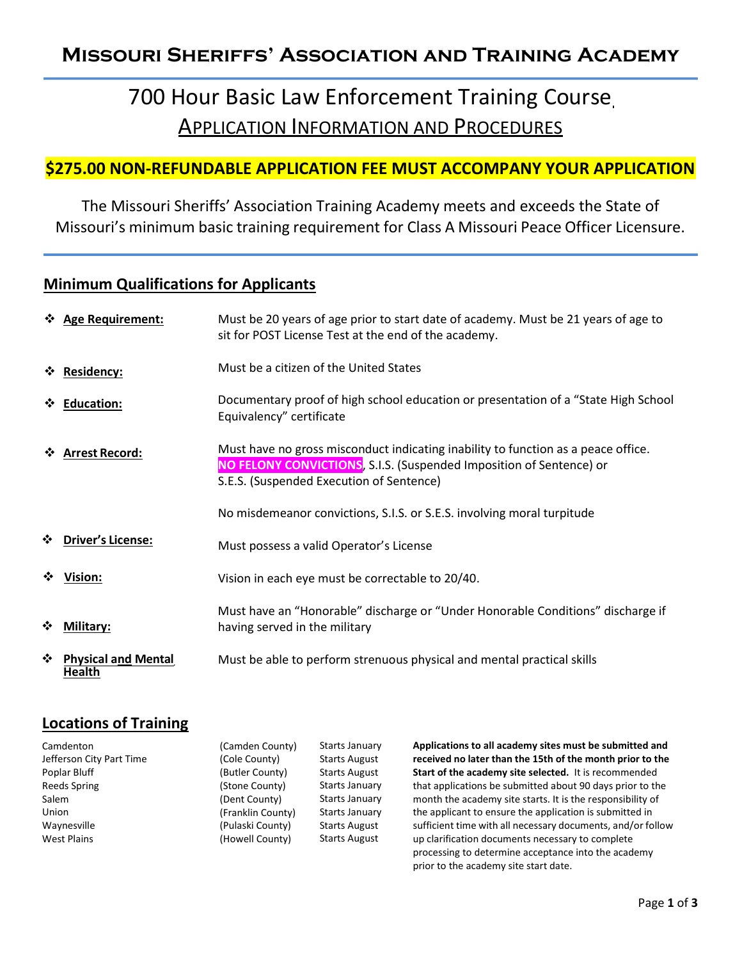### Missouri Sheriffs' Association and Training Academy

# 700 Hour Basic Law Enforcement Training Course APPLICATION INFORMATION AND PROCEDURES

### \$275.00 NON-REFUNDABLE APPLICATION FEE MUST ACCOMPANY YOUR APPLICATION

The Missouri Sheriffs' Association Training Academy meets and exceeds the State of Missouri's minimum basic training requirement for Class A Missouri Peace Officer Licensure.

#### **Minimum Qualifications for Applicants**

|   | ❖ Age Requirement:                   | Must be 20 years of age prior to start date of academy. Must be 21 years of age to<br>sit for POST License Test at the end of the academy.                                                           |
|---|--------------------------------------|------------------------------------------------------------------------------------------------------------------------------------------------------------------------------------------------------|
|   | ☆ Residency:                         | Must be a citizen of the United States                                                                                                                                                               |
|   | ❖ Education:                         | Documentary proof of high school education or presentation of a "State High School<br>Equivalency" certificate                                                                                       |
|   | ❖ Arrest Record:                     | Must have no gross misconduct indicating inability to function as a peace office.<br>NO FELONY CONVICTIONS, S.I.S. (Suspended Imposition of Sentence) or<br>S.E.S. (Suspended Execution of Sentence) |
|   |                                      | No misdemeanor convictions, S.I.S. or S.E.S. involving moral turpitude                                                                                                                               |
| ❖ | <b>Driver's License:</b>             | Must possess a valid Operator's License                                                                                                                                                              |
| ❖ | Vision:                              | Vision in each eye must be correctable to 20/40.                                                                                                                                                     |
| ❖ | Military:                            | Must have an "Honorable" discharge or "Under Honorable Conditions" discharge if<br>having served in the military                                                                                     |
| ❖ | <b>Physical and Mental</b><br>Health | Must be able to perform strenuous physical and mental practical skills                                                                                                                               |

### Locations of Training

| Camdenton                | (Camden County)   | Starts January       | Applications to all       |
|--------------------------|-------------------|----------------------|---------------------------|
| Jefferson City Part Time | (Cole County)     | <b>Starts August</b> | received no later         |
| Poplar Bluff             | (Butler County)   | <b>Starts August</b> | <b>Start of the acade</b> |
| Reeds Spring             | (Stone County)    | Starts January       | that applications b       |
| Salem                    | (Dent County)     | Starts January       | month the acaden          |
| Union                    | (Franklin County) | Starts January       | the applicant to ei       |
| Waynesville              | (Pulaski County)  | <b>Starts August</b> | sufficient time wit       |
| <b>West Plains</b>       | (Howell County)   | <b>Starts August</b> | up clarification do       |
|                          |                   |                      |                           |

I academy sites must be submitted and than the 15th of the month prior to the emy site selected. It is recommended be submitted about 90 days prior to the my site starts. It is the responsibility of nsure the application is submitted in th all necessary documents, and/or follow cuments necessary to complete processing to determine acceptance into the academy prior to the academy site start date.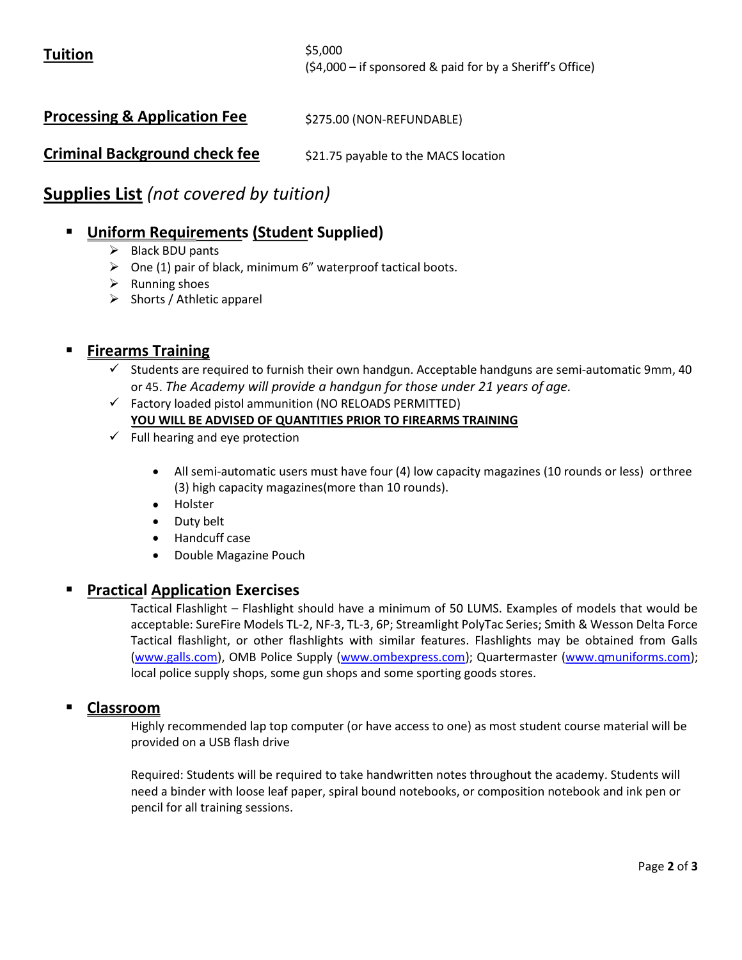\$5,000 (\$4,000 – if sponsored & paid for by a Sheriff's Office)

Processing & Application Fee \$275.00 (NON-REFUNDABLE)

Criminal Background check fee \$21.75 payable to the MACS location

### Supplies List (not covered by tuition)

### Uniform Requirements (Student Supplied)

- $\triangleright$  Black BDU pants
- $\triangleright$  One (1) pair of black, minimum 6" waterproof tactical boots.
- $\triangleright$  Running shoes
- $\triangleright$  Shorts / Athletic apparel

### Firearms Training

- $\checkmark$  Students are required to furnish their own handgun. Acceptable handguns are semi-automatic 9mm, 40 or 45. The Academy will provide a handgun for those under 21 years of age.
- $\checkmark$  Factory loaded pistol ammunition (NO RELOADS PERMITTED) YOU WILL BE ADVISED OF QUANTITIES PRIOR TO FIREARMS TRAINING
- $\checkmark$  Full hearing and eye protection
	- All semi-automatic users must have four (4) low capacity magazines (10 rounds or less) or three (3) high capacity magazines(more than 10 rounds).
	- Holster
	- Duty belt
	- Handcuff case
	- Double Magazine Pouch

#### Practical Application Exercises

Tactical Flashlight – Flashlight should have a minimum of 50 LUMS. Examples of models that would be acceptable: SureFire Models TL-2, NF-3, TL-3, 6P; Streamlight PolyTac Series; Smith & Wesson Delta Force Tactical flashlight, or other flashlights with similar features. Flashlights may be obtained from Galls (www.galls.com), OMB Police Supply (www.ombexpress.com); Quartermaster (www.qmuniforms.com); local police supply shops, some gun shops and some sporting goods stores.

#### Classroom

Highly recommended lap top computer (or have access to one) as most student course material will be provided on a USB flash drive

Required: Students will be required to take handwritten notes throughout the academy. Students will need a binder with loose leaf paper, spiral bound notebooks, or composition notebook and ink pen or pencil for all training sessions.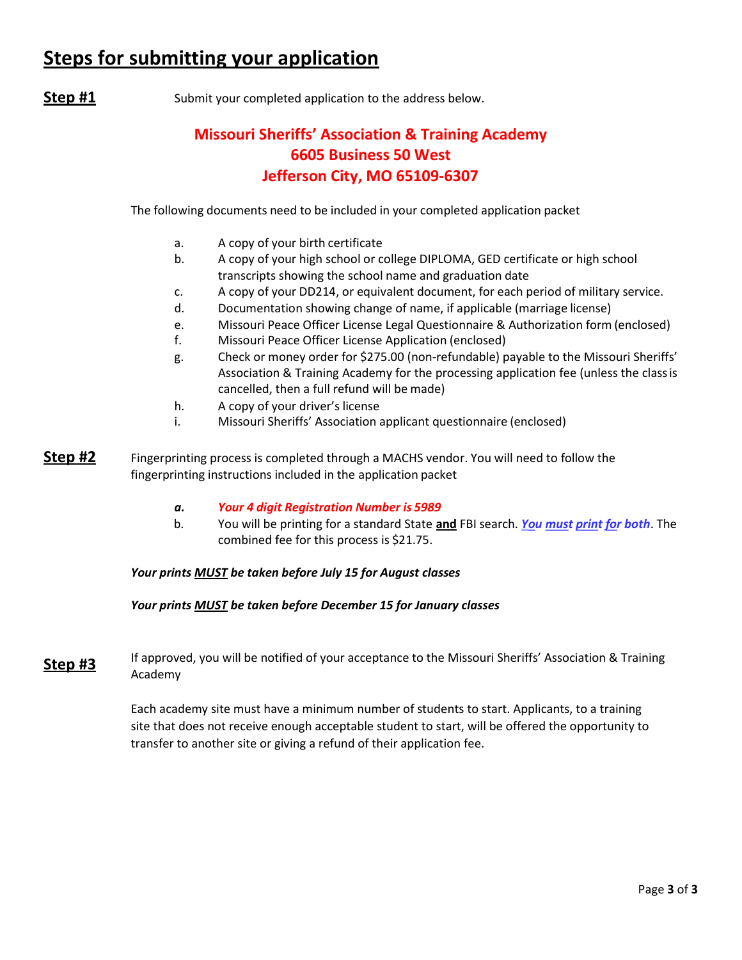## Steps for submitting your application

**Step #1** Submit your completed application to the address below.

### Missouri Sheriffs' Association & Training Academy 6605 Business 50 West Jefferson City, MO 65109-6307

The following documents need to be included in your completed application packet

- a. A copy of your birth certificate
- b. A copy of your high school or college DIPLOMA, GED certificate or high school transcripts showing the school name and graduation date
- c. A copy of your DD214, or equivalent document, for each period of military service.
- d. Documentation showing change of name, if applicable (marriage license)
- e. Missouri Peace Officer License Legal Questionnaire & Authorization form (enclosed)
- f. Missouri Peace Officer License Application (enclosed)
- g. Check or money order for \$275.00 (non-refundable) payable to the Missouri Sheriffs' Association & Training Academy for the processing application fee (unless the class is cancelled, then a full refund will be made)
- h. A copy of your driver's license
- i. Missouri Sheriffs' Association applicant questionnaire (enclosed)
- **Step #2** Fingerprinting process is completed through a MACHS vendor. You will need to follow the fingerprinting instructions included in the application packet
	- a. Your 4 digit Registration Number is 5989
	- b. You will be printing for a standard State and FBI search. You must print for both. The combined fee for this process is \$21.75.

#### Your prints **MUST** be taken before July 15 for August classes

#### Your prints **MUST** be taken before December 15 for January classes

**Step #3** If approved, you will be notified of your acceptance to the Missouri Sheriffs' Association & Training Academy

> Each academy site must have a minimum number of students to start. Applicants, to a training site that does not receive enough acceptable student to start, will be offered the opportunity to transfer to another site or giving a refund of their application fee.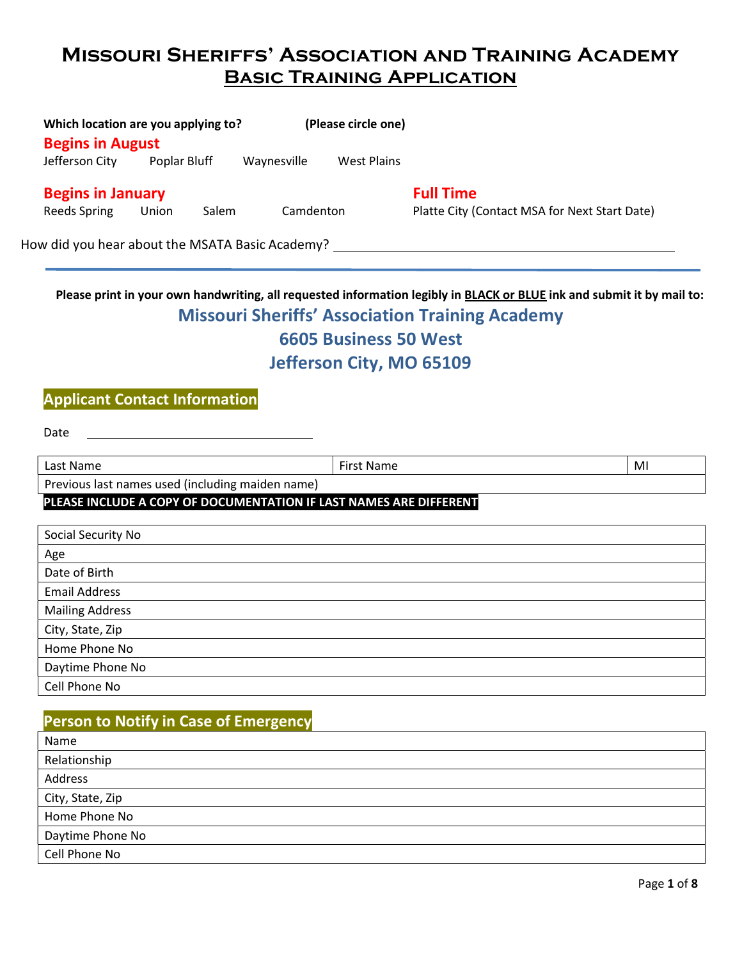### Missouri Sheriffs' Association and Training Academy **BASIC TRAINING APPLICATION**

| <b>Begins in August</b>  | Which location are you applying to?  |             | (Please circle one)          |                                                                                                                                                                                  |
|--------------------------|--------------------------------------|-------------|------------------------------|----------------------------------------------------------------------------------------------------------------------------------------------------------------------------------|
|                          | Jefferson City Poplar Bluff          | Waynesville | West Plains                  |                                                                                                                                                                                  |
| <b>Begins in January</b> |                                      |             |                              | <b>Full Time</b>                                                                                                                                                                 |
| Reeds Spring             | Union<br>Salem                       | Camdenton   |                              | Platte City (Contact MSA for Next Start Date)                                                                                                                                    |
|                          |                                      |             |                              |                                                                                                                                                                                  |
|                          |                                      |             | <b>6605 Business 50 West</b> | Please print in your own handwriting, all requested information legibly in BLACK or BLUE ink and submit it by mail to:<br><b>Missouri Sheriffs' Association Training Academy</b> |
|                          |                                      |             | Jefferson City, MO 65109     |                                                                                                                                                                                  |
|                          | <b>Applicant Contact Information</b> |             |                              |                                                                                                                                                                                  |
| Date                     |                                      |             |                              |                                                                                                                                                                                  |

Previous last names used (including maiden name)

#### PLEASE INCLUDE A COPY OF DOCUMENTATION IF LAST NAMES ARE DIFFERENT

| Social Security No     |
|------------------------|
| Age                    |
| Date of Birth          |
| <b>Email Address</b>   |
| <b>Mailing Address</b> |
| City, State, Zip       |
| Home Phone No          |
| Daytime Phone No       |
| Cell Phone No          |

### Person to Notify in Case of Emergency

| Name             |
|------------------|
| Relationship     |
| Address          |
| City, State, Zip |
| Home Phone No    |
| Daytime Phone No |
| Cell Phone No    |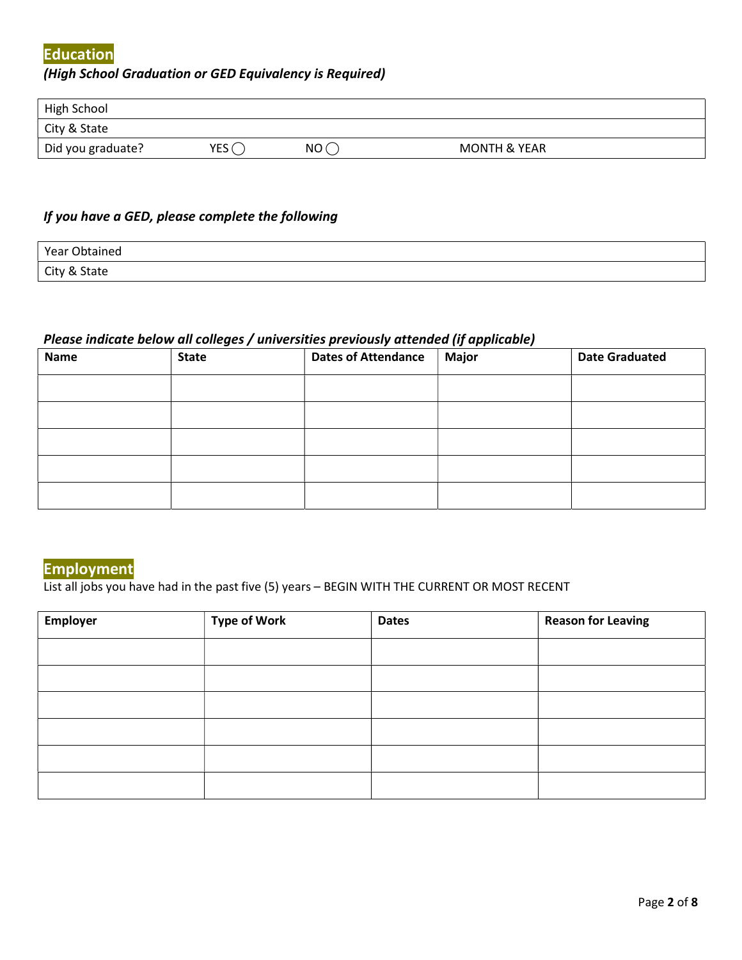#### Education

#### (High School Graduation or GED Equivalency is Required)

| High School       |                  |     |                         |
|-------------------|------------------|-----|-------------------------|
| City & State      |                  |     |                         |
| Did you graduate? | YES <sub>I</sub> | NO( | <b>MONTH &amp; YEAR</b> |

#### If you have a GED, please complete the following

| Year Obtained |  |
|---------------|--|
| City & State  |  |

#### Please indicate below all colleges / universities previously attended (if applicable)

| <b>Name</b> | <b>State</b> | ____<br><b>Dates of Attendance</b> | .<br><b>Major</b> | <b>Date Graduated</b> |
|-------------|--------------|------------------------------------|-------------------|-----------------------|
|             |              |                                    |                   |                       |
|             |              |                                    |                   |                       |
|             |              |                                    |                   |                       |
|             |              |                                    |                   |                       |
|             |              |                                    |                   |                       |

### Employment

List all jobs you have had in the past five (5) years – BEGIN WITH THE CURRENT OR MOST RECENT

| <b>Employer</b> | <b>Type of Work</b> | <b>Dates</b> | <b>Reason for Leaving</b> |
|-----------------|---------------------|--------------|---------------------------|
|                 |                     |              |                           |
|                 |                     |              |                           |
|                 |                     |              |                           |
|                 |                     |              |                           |
|                 |                     |              |                           |
|                 |                     |              |                           |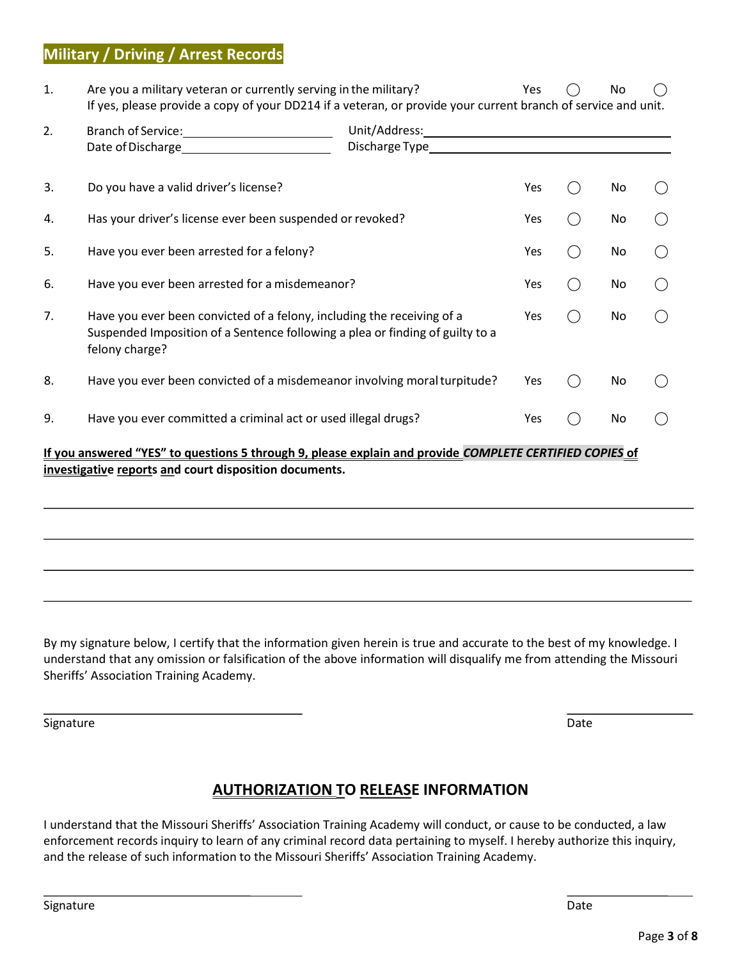### Military / Driving / Arrest Records

| 1. | Are you a military veteran or currently serving in the military?<br>If yes, please provide a copy of your DD214 if a veteran, or provide your current branch of service and unit. |                                                                                                                                                                                                                               | Yes | No |  |
|----|-----------------------------------------------------------------------------------------------------------------------------------------------------------------------------------|-------------------------------------------------------------------------------------------------------------------------------------------------------------------------------------------------------------------------------|-----|----|--|
| 2. |                                                                                                                                                                                   | Discharge Type experience and the control of the control of the control of the control of the control of the control of the control of the control of the control of the control of the control of the control of the control |     |    |  |
| 3. | Do you have a valid driver's license?                                                                                                                                             |                                                                                                                                                                                                                               | Yes | No |  |
| 4. | Has your driver's license ever been suspended or revoked?                                                                                                                         |                                                                                                                                                                                                                               | Yes | No |  |
| 5. | Have you ever been arrested for a felony?                                                                                                                                         |                                                                                                                                                                                                                               | Yes | No |  |
| 6. | Have you ever been arrested for a misdemeanor?                                                                                                                                    |                                                                                                                                                                                                                               | Yes | No |  |
| 7. | Have you ever been convicted of a felony, including the receiving of a<br>Suspended Imposition of a Sentence following a plea or finding of guilty to a<br>felony charge?         |                                                                                                                                                                                                                               | Yes | No |  |
| 8. | Have you ever been convicted of a misdemeanor involving moral turpitude?                                                                                                          |                                                                                                                                                                                                                               | Yes | No |  |
| 9. | Have you ever committed a criminal act or used illegal drugs?                                                                                                                     |                                                                                                                                                                                                                               |     | No |  |
|    | If you answered "YES" to questions 5 through 9, please explain and provide COMPLETE CERTIFIED COPIES of<br>investigative reports and court disposition documents.                 |                                                                                                                                                                                                                               |     |    |  |

By my signature below, I certify that the information given herein is true and accurate to the best of my knowledge. I understand that any omission or falsification of the above information will disqualify me from attending the Missouri Sheriffs' Association Training Academy.

Signature **Date** 

### **AUTHORIZATION TO RELEASE INFORMATION**

I understand that the Missouri Sheriffs' Association Training Academy will conduct, or cause to be conducted, a law enforcement records inquiry to learn of any criminal record data pertaining to myself. I hereby authorize this inquiry, and the release of such information to the Missouri Sheriffs' Association Training Academy.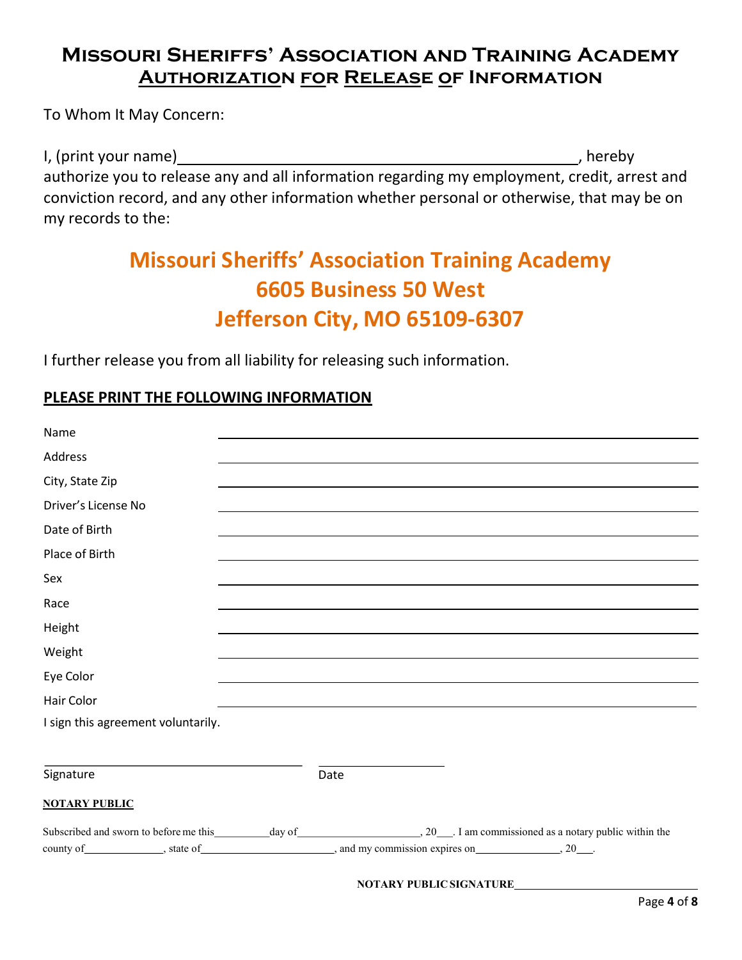### Missouri Sheriffs' Association and Training Academy **AUTHORIZATION FOR RELEASE OF INFORMATION**

To Whom It May Concern:

I, (print your name) , hereby authorize you to release any and all information regarding my employment, credit, arrest and conviction record, and any other information whether personal or otherwise, that may be on my records to the:

# Missouri Sheriffs' Association Training Academy 6605 Business 50 West Jefferson City, MO 65109-6307

I further release you from all liability for releasing such information.

### PLEASE PRINT THE FOLLOWING INFORMATION

| Name                                                                                                                  |      |  |
|-----------------------------------------------------------------------------------------------------------------------|------|--|
| Address                                                                                                               |      |  |
| City, State Zip                                                                                                       |      |  |
| Driver's License No                                                                                                   |      |  |
| Date of Birth                                                                                                         |      |  |
| Place of Birth                                                                                                        |      |  |
| Sex                                                                                                                   |      |  |
| Race                                                                                                                  |      |  |
| Height                                                                                                                |      |  |
| Weight                                                                                                                |      |  |
| Eye Color                                                                                                             |      |  |
| <b>Hair Color</b>                                                                                                     |      |  |
| I sign this agreement voluntarily.                                                                                    |      |  |
|                                                                                                                       |      |  |
| Signature                                                                                                             | Date |  |
| <b>NOTARY PUBLIC</b>                                                                                                  |      |  |
|                                                                                                                       |      |  |
| county of _______________, state of ________________________, and my commission expires on __________________, 20___. |      |  |
|                                                                                                                       |      |  |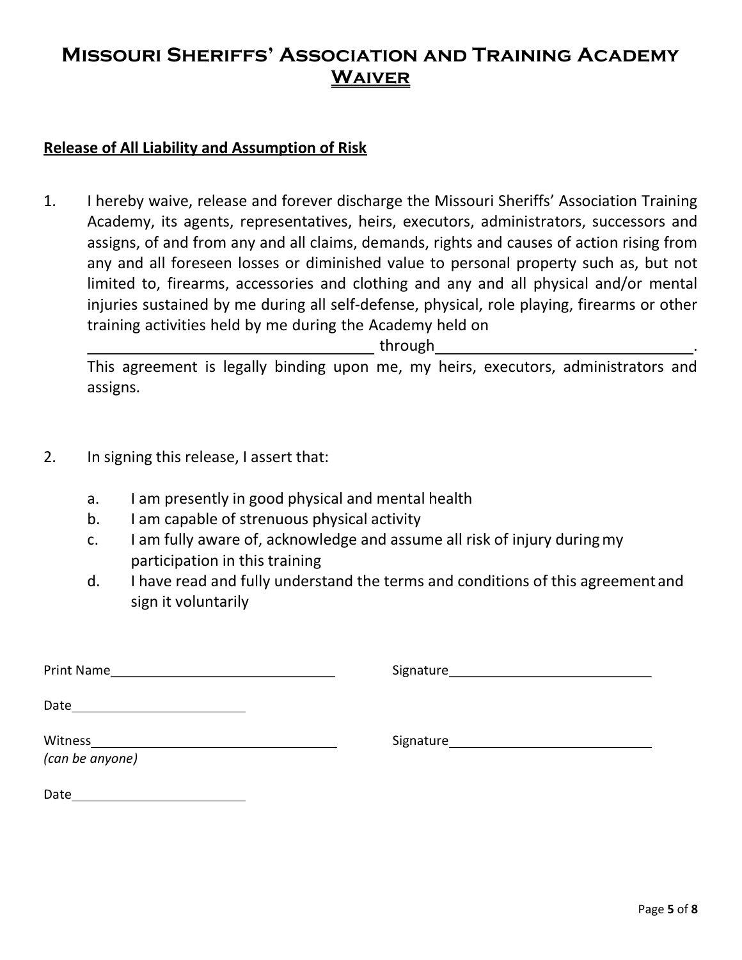### Missouri Sheriffs' Association and Training Academy **WAIVER**

### Release of All Liability and Assumption of Risk

1. I hereby waive, release and forever discharge the Missouri Sheriffs' Association Training Academy, its agents, representatives, heirs, executors, administrators, successors and assigns, of and from any and all claims, demands, rights and causes of action rising from any and all foreseen losses or diminished value to personal property such as, but not limited to, firearms, accessories and clothing and any and all physical and/or mental injuries sustained by me during all self-defense, physical, role playing, firearms or other training activities held by me during the Academy held on

through .

This agreement is legally binding upon me, my heirs, executors, administrators and assigns.

- 2. In signing this release, I assert that:
	- a. I am presently in good physical and mental health
	- b. I am capable of strenuous physical activity
	- c. I am fully aware of, acknowledge and assume all risk of injury during my participation in this training
	- d. I have read and fully understand the terms and conditions of this agreement and sign it voluntarily

| Print Name<br>the control of the control of the control of the control of the control of |  |
|------------------------------------------------------------------------------------------|--|
| Date                                                                                     |  |
| Witness<br>(can be anyone)                                                               |  |
| Date                                                                                     |  |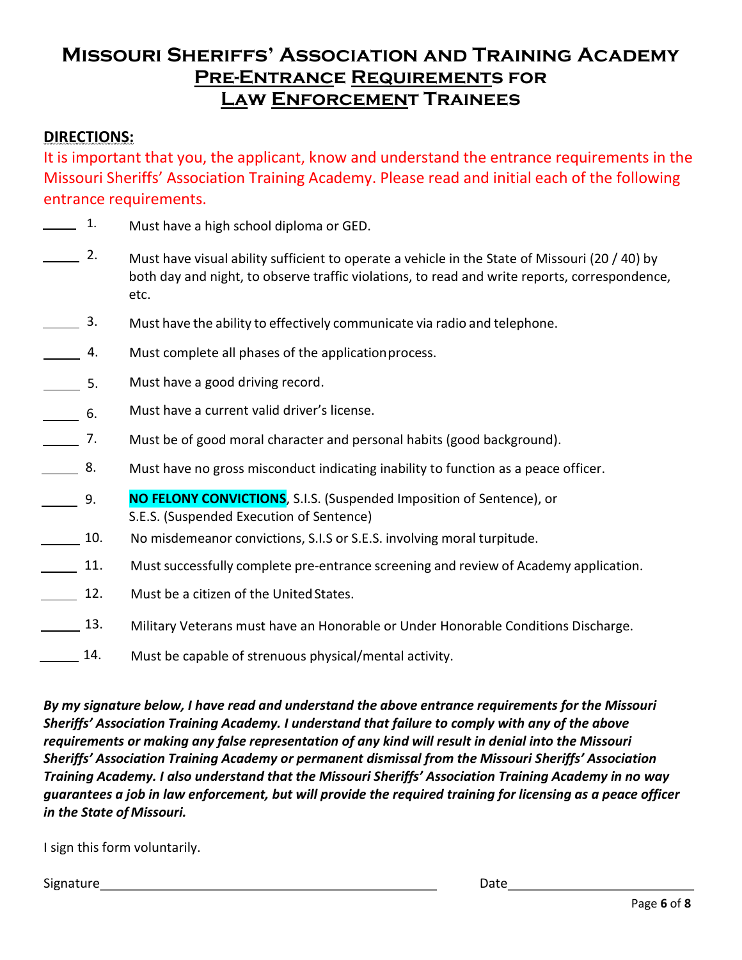### Missouri Sheriffs' Association and Training Academy Pre-Entrance Requirements for LAW ENFORCEMENT TRAINEES

### DIRECTIONS:

It is important that you, the applicant, know and understand the entrance requirements in the Missouri Sheriffs' Association Training Academy. Please read and initial each of the following entrance requirements.

- $\overline{\phantom{a}}$  1. Must have a high school diploma or GED.
- 2. Must have visual ability sufficient to operate a vehicle in the State of Missouri (20 / 40) by both day and night, to observe traffic violations, to read and write reports, correspondence, etc.
- $\overline{\phantom{1}}$  3. Must have the ability to effectively communicate via radio and telephone.
- $\overline{\phantom{a}}$  4. Must complete all phases of the application process.
- $\overline{\phantom{1}}$  5. Must have a good driving record.
- $\frac{1}{\sqrt{1-\frac{1}{2}}}\;$  6. Must have a current valid driver's license.
- 7. Must be of good moral character and personal habits (good background).
- $\overline{\phantom{1}}$  8. Must have no gross misconduct indicating inability to function as a peace officer.
- $\frac{9}{2}$ NO FELONY CONVICTIONS, S.I.S. (Suspended Imposition of Sentence), or S.E.S. (Suspended Execution of Sentence)
- 10. No misdemeanor convictions, S.I.S or S.E.S. involving moral turpitude.
- 11. Must successfully complete pre-entrance screening and review of Academy application.
- 12. Must be a citizen of the United States.
- 13. Military Veterans must have an Honorable or Under Honorable Conditions Discharge.
- 14. Must be capable of strenuous physical/mental activity.

By my signature below, I have read and understand the above entrance requirements for the Missouri Sheriffs' Association Training Academy. I understand that failure to comply with any of the above requirements or making any false representation of any kind will result in denial into the Missouri Sheriffs' Association Training Academy or permanent dismissal from the Missouri Sheriffs' Association Training Academy. I also understand that the Missouri Sheriffs' Association Training Academy in no way guarantees a job in law enforcement, but will provide the required training for licensing as a peace officer in the State of Missouri.

I sign this form voluntarily.

Signature **Date**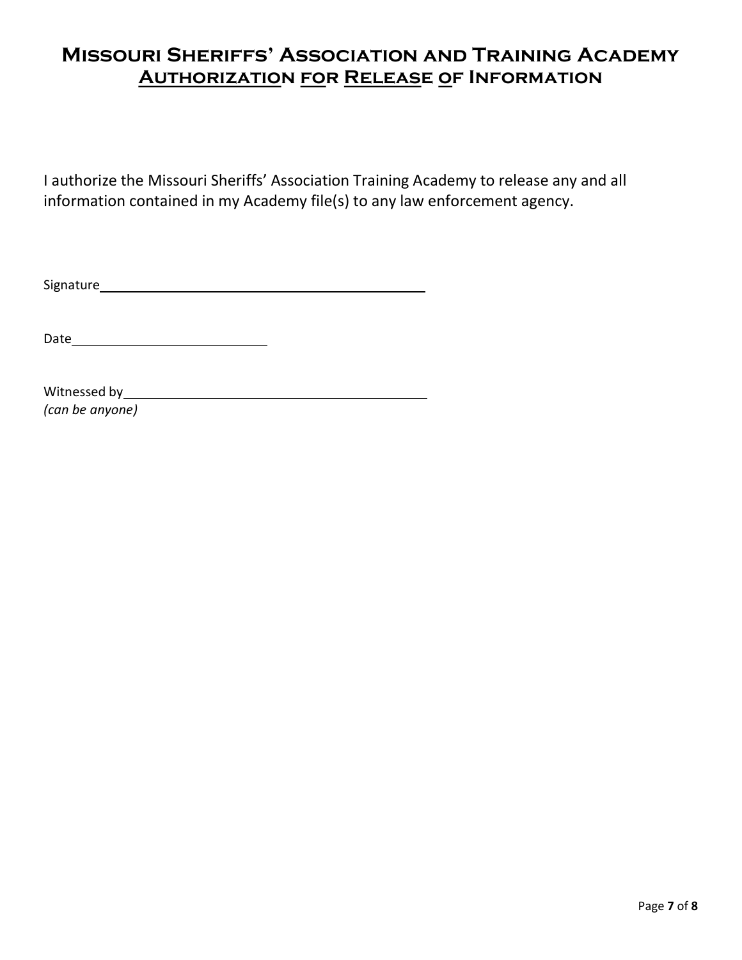### Missouri Sheriffs' Association and Training Academy **AUTHORIZATION FOR RELEASE OF INFORMATION**

I authorize the Missouri Sheriffs' Association Training Academy to release any and all information contained in my Academy file(s) to any law enforcement agency.

Signature

Date

Witnessed by (can be anyone)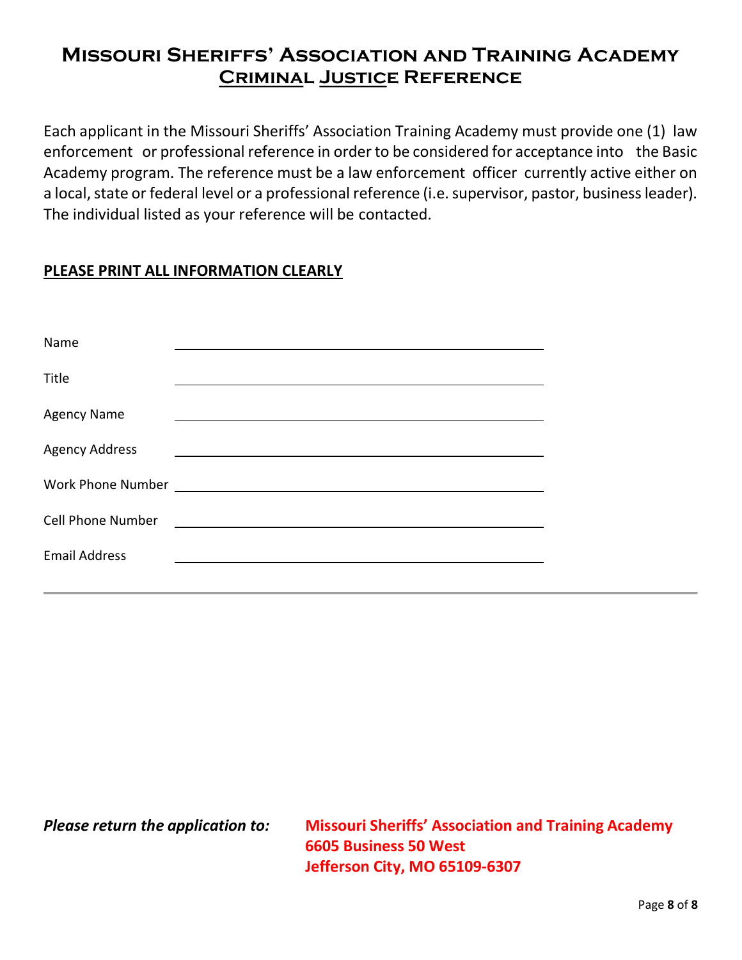### Missouri Sheriffs' Association and Training Academy **CRIMINAL JUSTICE REFERENCE**

Each applicant in the Missouri Sheriffs' Association Training Academy must provide one (1) law enforcement or professional reference in order to be considered for acceptance into the Basic Academy program. The reference must be a law enforcement officer currently active either on a local, state or federal level or a professional reference (i.e. supervisor, pastor, business leader). The individual listed as your reference will be contacted.

### PLEASE PRINT ALL INFORMATION CLEARLY

| Name                     |                                                                    |
|--------------------------|--------------------------------------------------------------------|
| Title                    |                                                                    |
| <b>Agency Name</b>       |                                                                    |
| <b>Agency Address</b>    |                                                                    |
|                          |                                                                    |
| <b>Cell Phone Number</b> | <u> 1980 - Andrea Station Barbara, amerikan personal (h. 1980)</u> |
| <b>Email Address</b>     |                                                                    |

Please return the application to: Missouri Sheriffs' Association and Training Academy 6605 Business 50 West Jefferson City, MO 65109-6307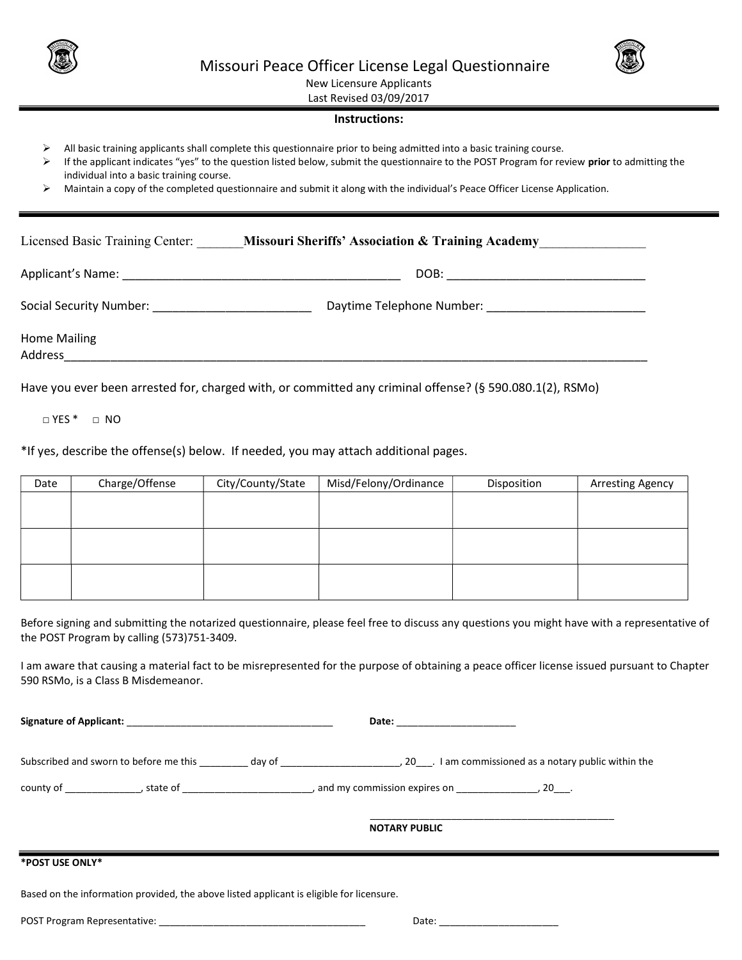



New Licensure Applicants

Last Revised 03/09/2017

#### Instructions:

- $\triangleright$  All basic training applicants shall complete this questionnaire prior to being admitted into a basic training course.
- If the applicant indicates "yes" to the question listed below, submit the questionnaire to the POST Program for review prior to admitting the individual into a basic training course.
- Maintain a copy of the completed questionnaire and submit it along with the individual's Peace Officer License Application.

| Licensed Basic Training Center:                                                                                                        | <b>Missouri Sheriffs' Association &amp; Training Academy</b>                                             |  |  |
|----------------------------------------------------------------------------------------------------------------------------------------|----------------------------------------------------------------------------------------------------------|--|--|
|                                                                                                                                        | DOB: ___________________________                                                                         |  |  |
|                                                                                                                                        |                                                                                                          |  |  |
| <b>Home Mailing</b><br>Address and the contract of the contract of the contract of the contract of the contract of the contract of the |                                                                                                          |  |  |
|                                                                                                                                        | Have you ever been arrested for, charged with, or committed any criminal offense? (§ 590.080.1(2), RSMo) |  |  |

□ YES \* □ NO

\*If yes, describe the offense(s) below. If needed, you may attach additional pages.

| Date | Charge/Offense | City/County/State | Misd/Felony/Ordinance | Disposition | <b>Arresting Agency</b> |
|------|----------------|-------------------|-----------------------|-------------|-------------------------|
|      |                |                   |                       |             |                         |
|      |                |                   |                       |             |                         |
|      |                |                   |                       |             |                         |
|      |                |                   |                       |             |                         |
|      |                |                   |                       |             |                         |
|      |                |                   |                       |             |                         |

Before signing and submitting the notarized questionnaire, please feel free to discuss any questions you might have with a representative of the POST Program by calling (573)751-3409.

I am aware that causing a material fact to be misrepresented for the purpose of obtaining a peace officer license issued pursuant to Chapter 590 RSMo, is a Class B Misdemeanor.

Signature of Applicant: the control of the control of the control of the control of the control of the control of the control of the control of the control of the control of the control of the control of the control of the

Subscribed and sworn to before me this \_\_\_\_\_\_\_\_\_ day of \_\_\_\_\_\_\_\_\_\_\_\_\_\_\_\_\_\_\_\_\_\_\_\_\_, 20\_\_\_\_. I am commissioned as a notary public within the

county of \_\_\_\_\_\_\_\_\_\_\_\_\_\_, state of \_\_\_\_\_\_\_\_\_\_\_\_\_\_\_\_\_\_\_\_\_\_\_\_\_\_, and my commission expires on \_\_\_\_\_\_\_\_\_\_\_\_\_\_\_, 20\_\_\_.

\_\_\_\_\_\_\_\_\_\_\_\_\_\_\_\_\_\_\_\_\_\_\_\_\_\_\_\_\_\_\_\_\_\_\_\_\_\_\_\_\_\_\_\_\_

NOTARY PUBLIC

#### \*POST USE ONLY\*

Based on the information provided, the above listed applicant is eligible for licensure.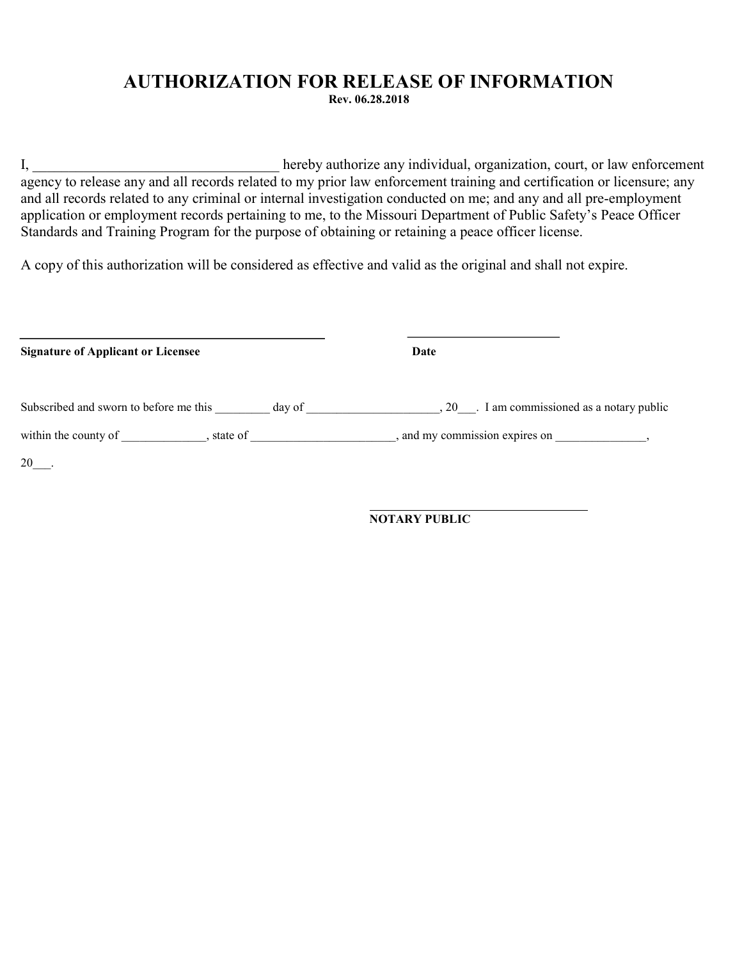#### AUTHORIZATION FOR RELEASE OF INFORMATION Rev. 06.28.2018

I, hereby authorize any individual, organization, court, or law enforcement agency to release any and all records related to my prior law enforcement training and certification or licensure; any and all records related to any criminal or internal investigation conducted on me; and any and all pre-employment application or employment records pertaining to me, to the Missouri Department of Public Safety's Peace Officer Standards and Training Program for the purpose of obtaining or retaining a peace officer license.

A copy of this authorization will be considered as effective and valid as the original and shall not expire.

| <b>Signature of Applicant or Licensee</b> |        | Date                                        |
|-------------------------------------------|--------|---------------------------------------------|
| Subscribed and sworn to before me this    | day of | , 20 . I am commissioned as a notary public |
| within the county of , state of           |        | , and my commission expires on              |
| 20                                        |        |                                             |

NOTARY PUBLIC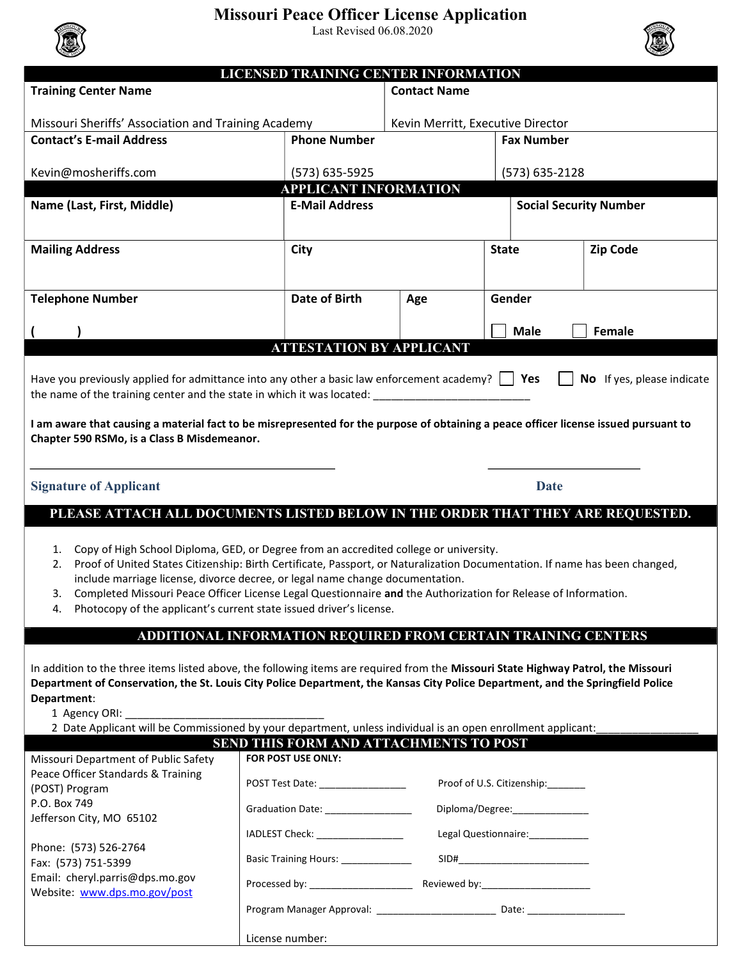### Missouri Peace Officer License Application

Last Revised 06.08.2020



|                                                                                                                                      | LICENSED TRAINING CENTER INFORMATION                          |                                   |                                   |                               |
|--------------------------------------------------------------------------------------------------------------------------------------|---------------------------------------------------------------|-----------------------------------|-----------------------------------|-------------------------------|
| <b>Training Center Name</b>                                                                                                          | <b>Contact Name</b>                                           |                                   |                                   |                               |
| Missouri Sheriffs' Association and Training Academy                                                                                  |                                                               | Kevin Merritt, Executive Director |                                   |                               |
| <b>Contact's E-mail Address</b>                                                                                                      | <b>Phone Number</b>                                           |                                   | <b>Fax Number</b>                 |                               |
|                                                                                                                                      |                                                               |                                   |                                   |                               |
| Kevin@mosheriffs.com                                                                                                                 | (573) 635-5925                                                |                                   | (573) 635-2128                    |                               |
|                                                                                                                                      | <b>APPLICANT INFORMATION</b>                                  |                                   |                                   |                               |
| Name (Last, First, Middle)                                                                                                           | <b>E-Mail Address</b>                                         |                                   |                                   | <b>Social Security Number</b> |
|                                                                                                                                      |                                                               |                                   |                                   |                               |
|                                                                                                                                      |                                                               |                                   |                                   |                               |
| <b>Mailing Address</b>                                                                                                               | City                                                          |                                   | <b>State</b>                      | <b>Zip Code</b>               |
|                                                                                                                                      |                                                               |                                   |                                   |                               |
|                                                                                                                                      |                                                               |                                   |                                   |                               |
| <b>Telephone Number</b>                                                                                                              | Date of Birth                                                 | Age                               | Gender                            |                               |
|                                                                                                                                      |                                                               |                                   |                                   |                               |
|                                                                                                                                      |                                                               |                                   | <b>Male</b>                       | Female                        |
|                                                                                                                                      | <b>ATTESTATION BY APPLICANT</b>                               |                                   |                                   |                               |
|                                                                                                                                      |                                                               |                                   |                                   |                               |
| Have you previously applied for admittance into any other a basic law enforcement academy? $\Box$ Yes                                |                                                               |                                   |                                   | No If yes, please indicate    |
| the name of the training center and the state in which it was located: _                                                             |                                                               |                                   |                                   |                               |
|                                                                                                                                      |                                                               |                                   |                                   |                               |
| I am aware that causing a material fact to be misrepresented for the purpose of obtaining a peace officer license issued pursuant to |                                                               |                                   |                                   |                               |
| Chapter 590 RSMo, is a Class B Misdemeanor.                                                                                          |                                                               |                                   |                                   |                               |
|                                                                                                                                      |                                                               |                                   |                                   |                               |
| <b>Signature of Applicant</b>                                                                                                        |                                                               |                                   | <b>Date</b>                       |                               |
|                                                                                                                                      |                                                               |                                   |                                   |                               |
| PLEASE ATTACH ALL DOCUMENTS LISTED BELOW IN THE ORDER THAT THEY ARE REQUESTED.                                                       |                                                               |                                   |                                   |                               |
|                                                                                                                                      |                                                               |                                   |                                   |                               |
| Copy of High School Diploma, GED, or Degree from an accredited college or university.<br>1.                                          |                                                               |                                   |                                   |                               |
| Proof of United States Citizenship: Birth Certificate, Passport, or Naturalization Documentation. If name has been changed,<br>2.    |                                                               |                                   |                                   |                               |
| include marriage license, divorce decree, or legal name change documentation.                                                        |                                                               |                                   |                                   |                               |
| Completed Missouri Peace Officer License Legal Questionnaire and the Authorization for Release of Information.<br>3.                 |                                                               |                                   |                                   |                               |
| Photocopy of the applicant's current state issued driver's license.<br>4.                                                            |                                                               |                                   |                                   |                               |
|                                                                                                                                      |                                                               |                                   |                                   |                               |
|                                                                                                                                      | ADDITIONAL INFORMATION REQUIRED FROM CERTAIN TRAINING CENTERS |                                   |                                   |                               |
|                                                                                                                                      |                                                               |                                   |                                   |                               |
| In addition to the three items listed above, the following items are required from the Missouri State Highway Patrol, the Missouri   |                                                               |                                   |                                   |                               |
| Department of Conservation, the St. Louis City Police Department, the Kansas City Police Department, and the Springfield Police      |                                                               |                                   |                                   |                               |
| Department:                                                                                                                          |                                                               |                                   |                                   |                               |
| 1 Agency ORI:                                                                                                                        |                                                               |                                   |                                   |                               |
| 2 Date Applicant will be Commissioned by your department, unless individual is an open enrollment applicant:                         | SEND THIS FORM AND ATTACHMENTS TO POST                        |                                   |                                   |                               |
| Missouri Department of Public Safety                                                                                                 | <b>FOR POST USE ONLY:</b>                                     |                                   |                                   |                               |
| Peace Officer Standards & Training                                                                                                   |                                                               |                                   |                                   |                               |
| (POST) Program                                                                                                                       | POST Test Date: __________________                            |                                   | Proof of U.S. Citizenship:_______ |                               |
| P.O. Box 749                                                                                                                         |                                                               |                                   |                                   |                               |
| Jefferson City, MO 65102                                                                                                             |                                                               |                                   |                                   |                               |
|                                                                                                                                      |                                                               |                                   | Diploma/Degree:_______________    |                               |
|                                                                                                                                      | IADLEST Check: ________________                               |                                   | Legal Questionnaire: ___________  |                               |
| Phone: (573) 526-2764                                                                                                                |                                                               |                                   |                                   |                               |
| Fax: (573) 751-5399                                                                                                                  | Basic Training Hours: ______________                          |                                   |                                   |                               |
| Email: cheryl.parris@dps.mo.gov<br>Website: www.dps.mo.gov/post                                                                      | Processed by: _______________________                         |                                   |                                   |                               |

Program Manager Approval: \_\_\_\_\_\_\_\_\_\_\_\_\_\_\_\_\_\_\_\_\_\_\_\_\_\_\_\_\_ Date: \_\_\_\_\_\_\_\_\_\_\_\_\_\_\_\_\_\_

License number: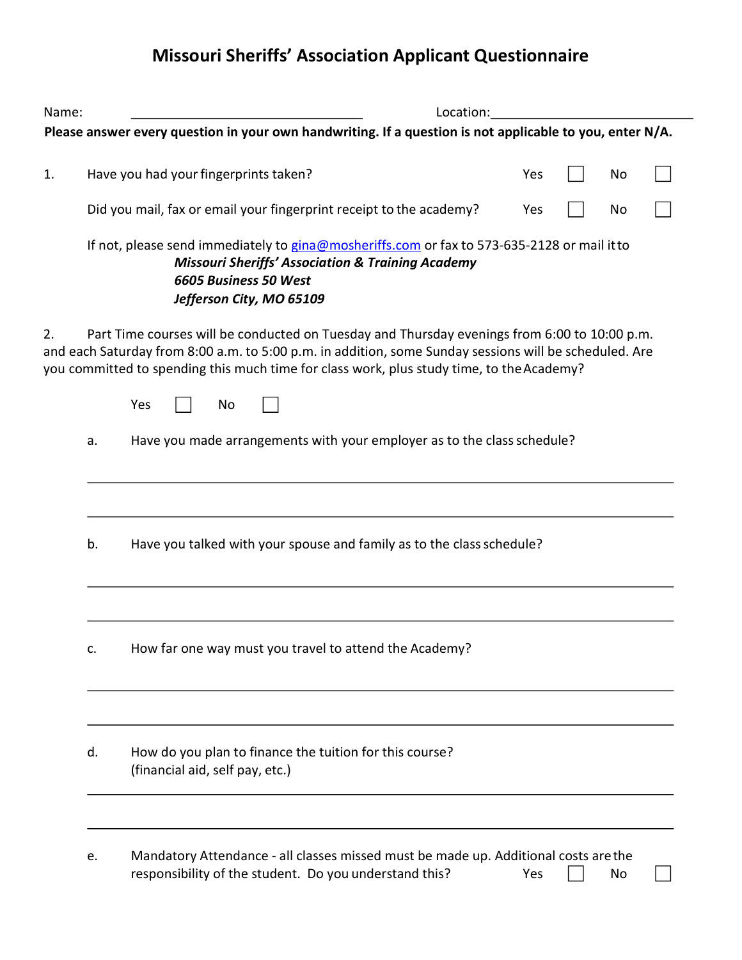# Missouri Sheriffs' Association Applicant Questionnaire

| Name: |    | Location:                                                                                                                                                                                                                                                                                                        |     |  |    |  |  |
|-------|----|------------------------------------------------------------------------------------------------------------------------------------------------------------------------------------------------------------------------------------------------------------------------------------------------------------------|-----|--|----|--|--|
|       |    | Please answer every question in your own handwriting. If a question is not applicable to you, enter N/A.                                                                                                                                                                                                         |     |  |    |  |  |
| 1.    |    | Have you had your fingerprints taken?                                                                                                                                                                                                                                                                            | Yes |  | No |  |  |
|       |    | Did you mail, fax or email your fingerprint receipt to the academy?                                                                                                                                                                                                                                              | Yes |  | No |  |  |
|       |    | If not, please send immediately to gina@mosheriffs.com or fax to 573-635-2128 or mail it to<br><b>Missouri Sheriffs' Association &amp; Training Academy</b><br>6605 Business 50 West<br>Jefferson City, MO 65109                                                                                                 |     |  |    |  |  |
| 2.    |    | Part Time courses will be conducted on Tuesday and Thursday evenings from 6:00 to 10:00 p.m.<br>and each Saturday from 8:00 a.m. to 5:00 p.m. in addition, some Sunday sessions will be scheduled. Are<br>you committed to spending this much time for class work, plus study time, to the Academy?<br>Yes<br>No |     |  |    |  |  |
|       | a. | Have you made arrangements with your employer as to the class schedule?                                                                                                                                                                                                                                          |     |  |    |  |  |
|       | b. | Have you talked with your spouse and family as to the class schedule?                                                                                                                                                                                                                                            |     |  |    |  |  |
|       | c. | How far one way must you travel to attend the Academy?                                                                                                                                                                                                                                                           |     |  |    |  |  |
|       | d. | How do you plan to finance the tuition for this course?<br>(financial aid, self pay, etc.)                                                                                                                                                                                                                       |     |  |    |  |  |
|       | e. | Mandatory Attendance - all classes missed must be made up. Additional costs are the<br>responsibility of the student. Do you understand this?                                                                                                                                                                    | Yes |  | No |  |  |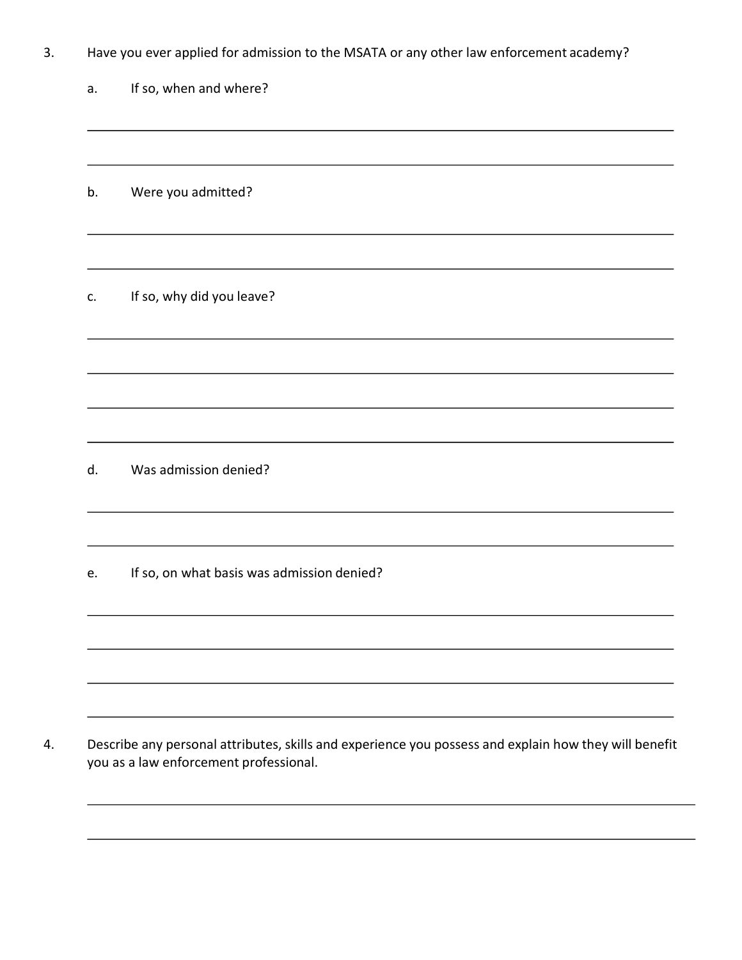| J. | Have you ever applied for admission to the MSATA or any other law enforcement academy? |  |  |  |
|----|----------------------------------------------------------------------------------------|--|--|--|
|----|----------------------------------------------------------------------------------------|--|--|--|

| a. |  |  |  | If so, when and where? |
|----|--|--|--|------------------------|
|----|--|--|--|------------------------|

b. Were you admitted?

c. If so, why did you leave?

d. Was admission denied?

e. If so, on what basis was admission denied?

4. Describe any personal attributes, skills and experience you possess and explain how they will benefit you as a law enforcement professional.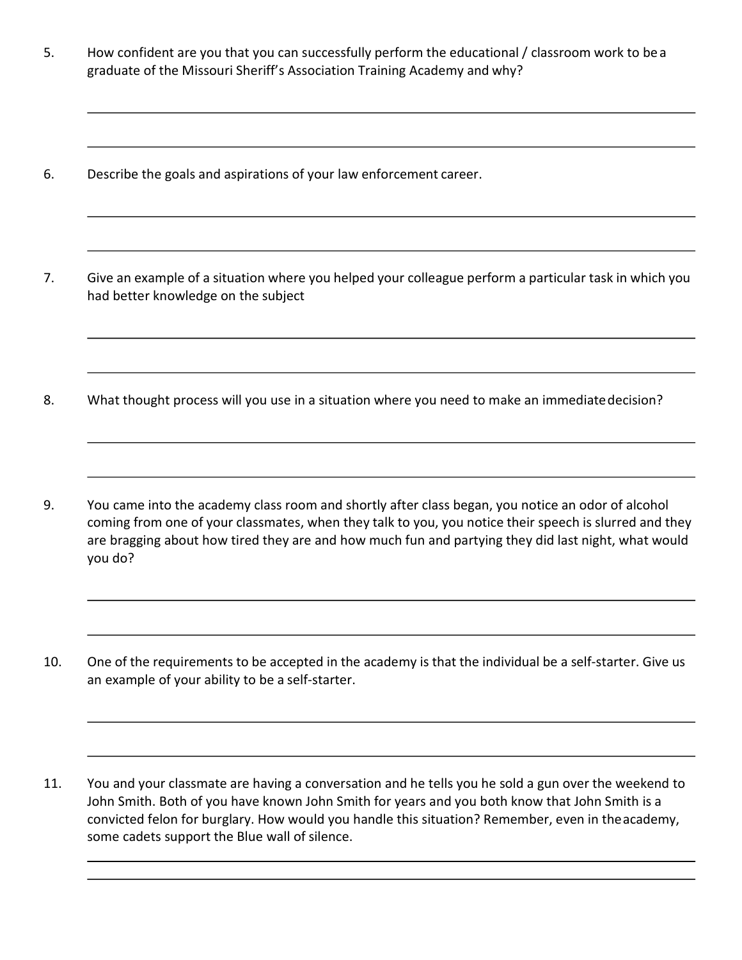- 5. How confident are you that you can successfully perform the educational / classroom work to be a graduate of the Missouri Sheriff's Association Training Academy and why?
- 6. Describe the goals and aspirations of your law enforcement career.
- 7. Give an example of a situation where you helped your colleague perform a particular task in which you had better knowledge on the subject
- 8. What thought process will you use in a situation where you need to make an immediate decision?
- 9. You came into the academy class room and shortly after class began, you notice an odor of alcohol coming from one of your classmates, when they talk to you, you notice their speech is slurred and they are bragging about how tired they are and how much fun and partying they did last night, what would you do?
- 10. One of the requirements to be accepted in the academy is that the individual be a self-starter. Give us an example of your ability to be a self-starter.
- 11. You and your classmate are having a conversation and he tells you he sold a gun over the weekend to John Smith. Both of you have known John Smith for years and you both know that John Smith is a convicted felon for burglary. How would you handle this situation? Remember, even in the academy, some cadets support the Blue wall of silence.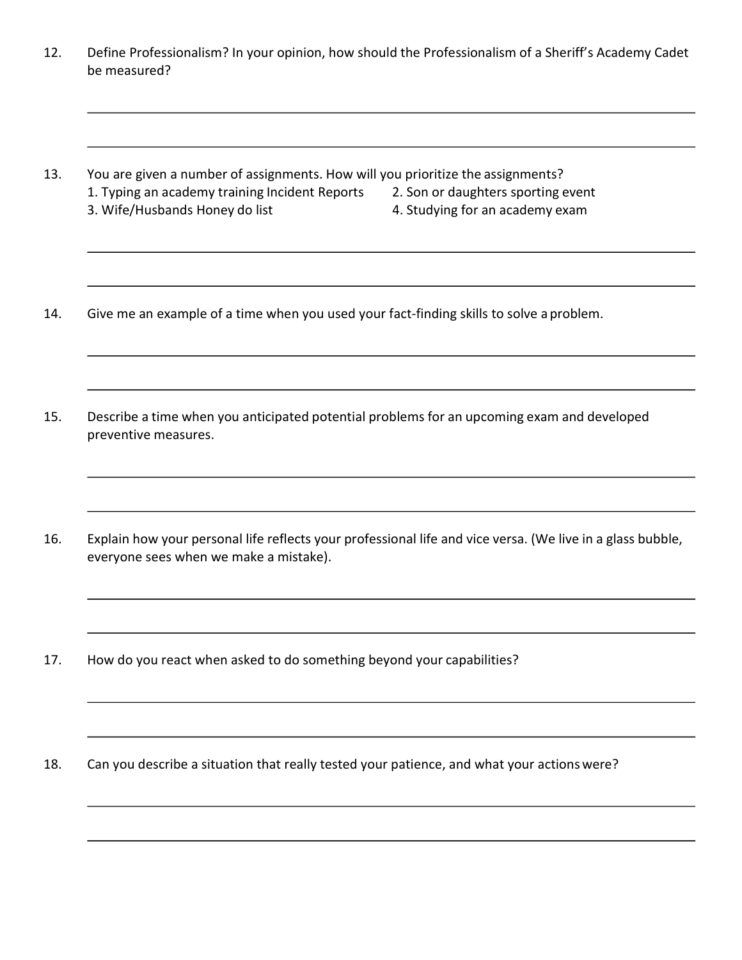- 12. Define Professionalism? In your opinion, how should the Professionalism of a Sheriff's Academy Cadet be measured?
- 13. You are given a number of assignments. How will you prioritize the assignments? 1. Typing an academy training Incident Reports 2. Son or daughters sporting event 3. Wife/Husbands Honey do list 4. Studying for an academy exam
- 14. Give me an example of a time when you used your fact-finding skills to solve a problem.
- 15. Describe a time when you anticipated potential problems for an upcoming exam and developed preventive measures.
- 16. Explain how your personal life reflects your professional life and vice versa. (We live in a glass bubble, everyone sees when we make a mistake).
- 17. How do you react when asked to do something beyond your capabilities?
- 18. Can you describe a situation that really tested your patience, and what your actions were?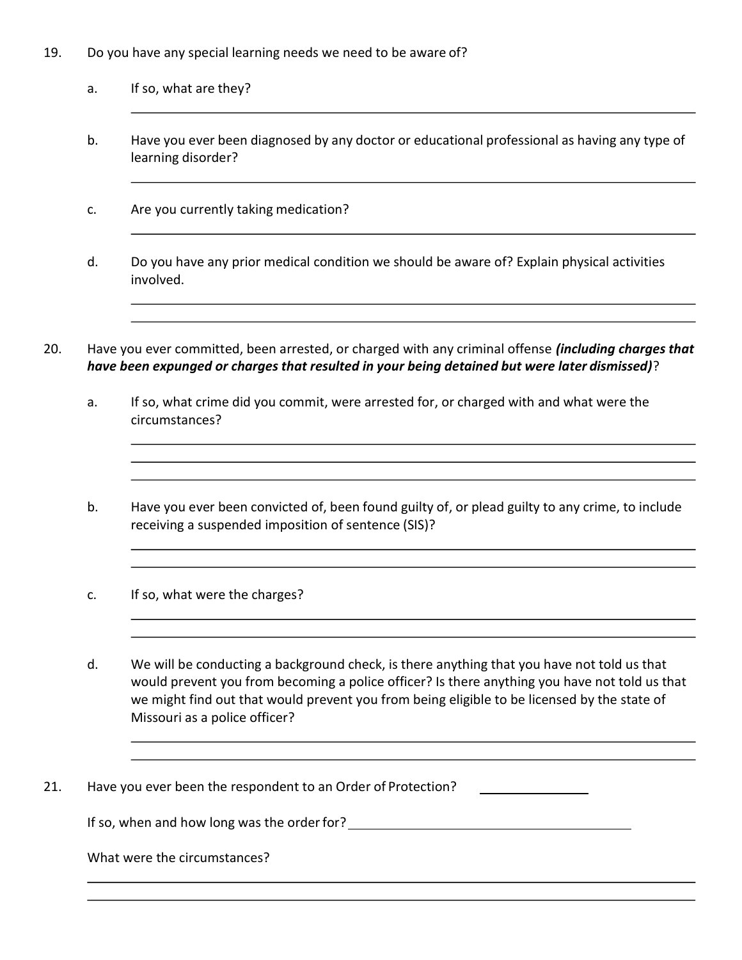- 19. Do you have any special learning needs we need to be aware of?
	- a. If so, what are they?
	- b. Have you ever been diagnosed by any doctor or educational professional as having any type of learning disorder?
	- c. Are you currently taking medication?
	- d. Do you have any prior medical condition we should be aware of? Explain physical activities involved.
- 20. Have you ever committed, been arrested, or charged with any criminal offense *(including charges that* have been expunged or charges that resulted in your being detained but were later dismissed)?
	- a. If so, what crime did you commit, were arrested for, or charged with and what were the circumstances?
	- b. Have you ever been convicted of, been found guilty of, or plead guilty to any crime, to include receiving a suspended imposition of sentence (SIS)?
	- c. If so, what were the charges?
	- d. We will be conducting a background check, is there anything that you have not told us that would prevent you from becoming a police officer? Is there anything you have not told us that we might find out that would prevent you from being eligible to be licensed by the state of Missouri as a police officer?
- 21. Have you ever been the respondent to an Order of Protection?

If so, when and how long was the order for?<br>
<u>If so, when and how long was the order for?</u>

What were the circumstances?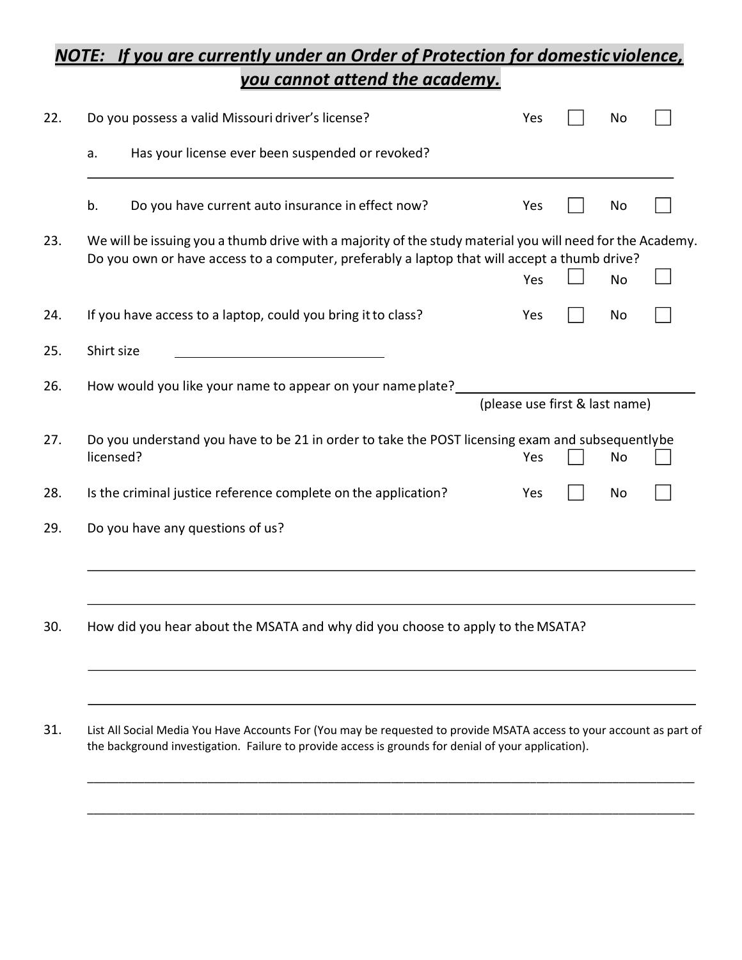### NOTE: If you are currently under an Order of Protection for domestic violence, you cannot attend the academy.

| 22. |                                                        | Do you possess a valid Missouri driver's license?                                                                                                                                                         | Yes                            | No        |  |
|-----|--------------------------------------------------------|-----------------------------------------------------------------------------------------------------------------------------------------------------------------------------------------------------------|--------------------------------|-----------|--|
|     | Has your license ever been suspended or revoked?<br>a. |                                                                                                                                                                                                           |                                |           |  |
|     | b.                                                     | Do you have current auto insurance in effect now?                                                                                                                                                         | Yes                            | No        |  |
| 23. |                                                        | We will be issuing you a thumb drive with a majority of the study material you will need for the Academy.<br>Do you own or have access to a computer, preferably a laptop that will accept a thumb drive? | Yes                            | <b>No</b> |  |
| 24. |                                                        | If you have access to a laptop, could you bring it to class?                                                                                                                                              | Yes                            | No        |  |
| 25. | Shirt size                                             |                                                                                                                                                                                                           |                                |           |  |
| 26. |                                                        | How would you like your name to appear on your name plate?                                                                                                                                                | (please use first & last name) |           |  |
| 27. |                                                        | Do you understand you have to be 21 in order to take the POST licensing exam and subsequentlybe<br>licensed?                                                                                              | Yes                            | No        |  |
| 28. |                                                        | Is the criminal justice reference complete on the application?                                                                                                                                            | Yes                            | No        |  |
| 29. |                                                        | Do you have any questions of us?                                                                                                                                                                          |                                |           |  |
|     |                                                        |                                                                                                                                                                                                           |                                |           |  |
| 30. |                                                        | How did you hear about the MSATA and why did you choose to apply to the MSATA?                                                                                                                            |                                |           |  |

31. List All Social Media You Have Accounts For (You may be requested to provide MSATA access to your account as part of the background investigation. Failure to provide access is grounds for denial of your application).

\_\_\_\_\_\_\_\_\_\_\_\_\_\_\_\_\_\_\_\_\_\_\_\_\_\_\_\_\_\_\_\_\_\_\_\_\_\_\_\_\_\_\_\_\_\_\_\_\_\_\_\_\_\_\_\_\_\_\_\_\_\_\_\_\_\_\_\_\_\_\_\_\_\_\_\_\_\_\_\_\_\_\_\_\_\_\_\_\_\_\_\_\_\_\_\_

\_\_\_\_\_\_\_\_\_\_\_\_\_\_\_\_\_\_\_\_\_\_\_\_\_\_\_\_\_\_\_\_\_\_\_\_\_\_\_\_\_\_\_\_\_\_\_\_\_\_\_\_\_\_\_\_\_\_\_\_\_\_\_\_\_\_\_\_\_\_\_\_\_\_\_\_\_\_\_\_\_\_\_\_\_\_\_\_\_\_\_\_\_\_\_\_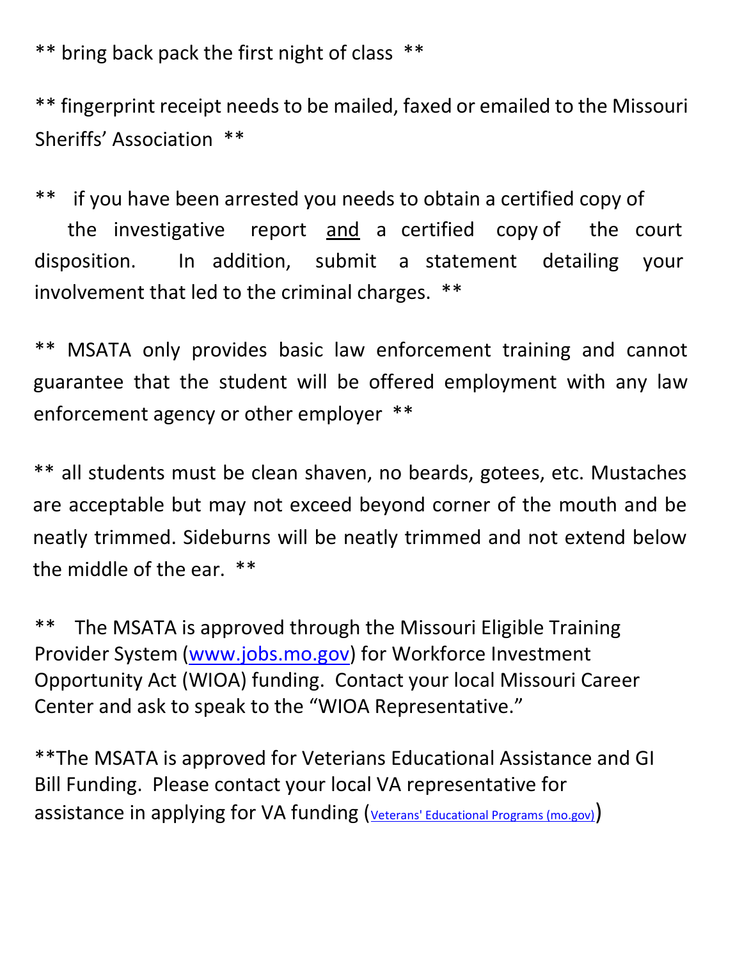\*\* bring back pack the first night of class \*\*

\*\* fingerprint receipt needs to be mailed, faxed or emailed to the Missouri Sheriffs' Association \*\*

\*\* if you have been arrested you needs to obtain a certified copy of the investigative report and a certified copy of the court disposition. In addition, submit a statement detailing your involvement that led to the criminal charges. \*\*

\*\* MSATA only provides basic law enforcement training and cannot guarantee that the student will be offered employment with any law enforcement agency or other employer \*\*

\*\* all students must be clean shaven, no beards, gotees, etc. Mustaches are acceptable but may not exceed beyond corner of the mouth and be neatly trimmed. Sideburns will be neatly trimmed and not extend below the middle of the ear. \*\*

\*\* The MSATA is approved through the Missouri Eligible Training Provider System (www.jobs.mo.gov) for Workforce Investment Opportunity Act (WIOA) funding. Contact your local Missouri Career Center and ask to speak to the "WIOA Representative."

\*\*The MSATA is approved for Veterians Educational Assistance and GI Bill Funding. Please contact your local VA representative for assistance in applying for VA funding (Veterans' Educational Programs (mo.gov))